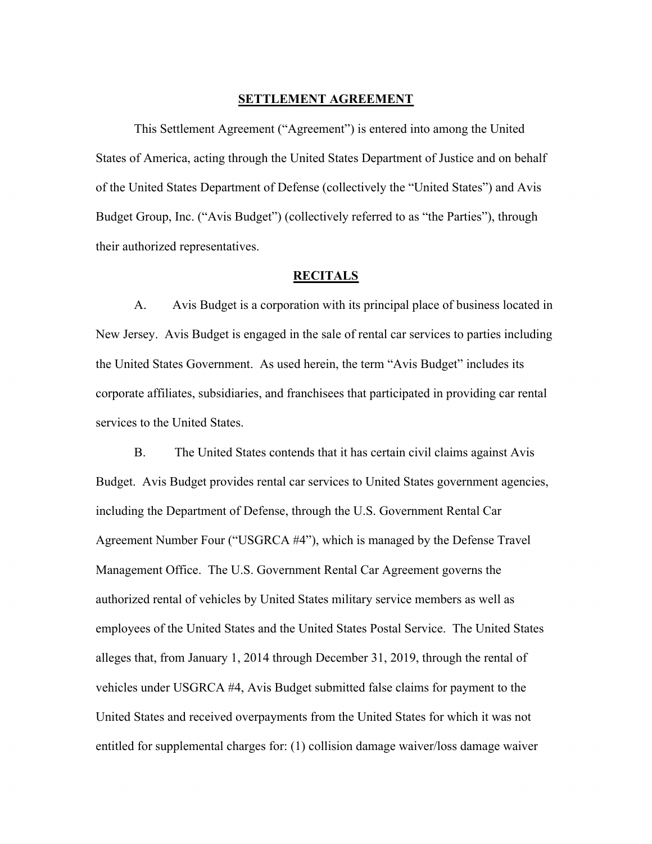### **SETTLEMENT AGREEMENT**

 This Settlement Agreement ("Agreement") is entered into among the United States of America, acting through the United States Department of Justice and on behalf of the United States Department of Defense (collectively the "United States") and Avis Budget Group, Inc. ("Avis Budget") (collectively referred to as "the Parties"), through their authorized representatives.

# **RECITALS**

 A. Avis Budget is a corporation with its principal place of business located in New Jersey. Avis Budget is engaged in the sale of rental car services to parties including the United States Government. As used herein, the term "Avis Budget" includes its corporate affiliates, subsidiaries, and franchisees that participated in providing car rental services to the United States.

B. The United States contends that it has certain civil claims against Avis Budget. Avis Budget provides rental car services to United States government agencies, including the Department of Defense, through the U.S. Government Rental Car Agreement Number Four ("USGRCA #4"), which is managed by the Defense Travel Management Office. The U.S. Government Rental Car Agreement governs the authorized rental of vehicles by United States military service members as well as employees of the United States and the United States Postal Service. The United States alleges that, from January 1, 2014 through December 31, 2019, through the rental of vehicles under USGRCA #4, Avis Budget submitted false claims for payment to the United States and received overpayments from the United States for which it was not entitled for supplemental charges for: (1) collision damage waiver/loss damage waiver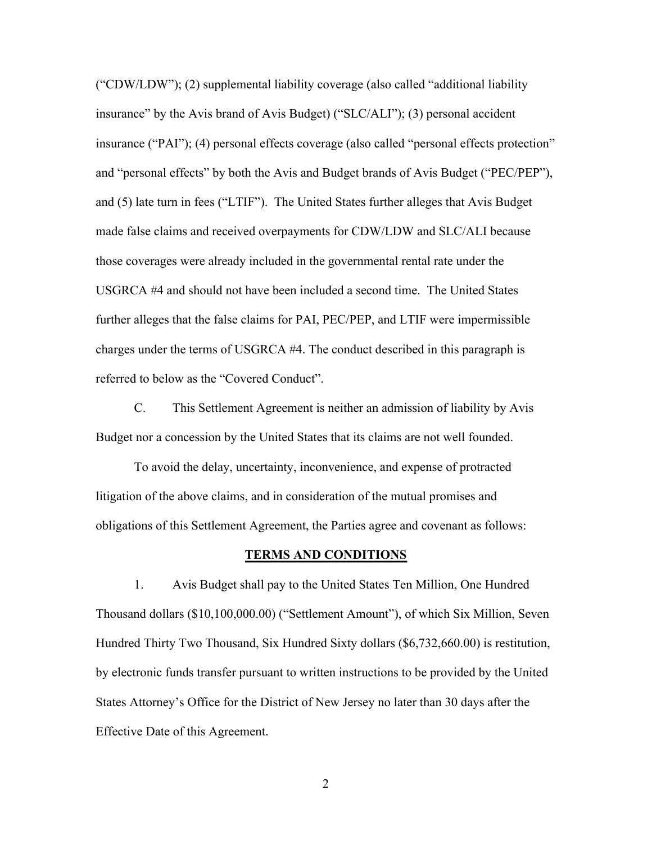("CDW/LDW"); (2) supplemental liability coverage (also called "additional liability insurance" by the Avis brand of Avis Budget) ("SLC/ALI"); (3) personal accident insurance ("PAI"); (4) personal effects coverage (also called "personal effects protection" and "personal effects" by both the Avis and Budget brands of Avis Budget ("PEC/PEP"), and (5) late turn in fees ("LTIF"). The United States further alleges that Avis Budget made false claims and received overpayments for CDW/LDW and SLC/ALI because those coverages were already included in the governmental rental rate under the USGRCA #4 and should not have been included a second time. The United States further alleges that the false claims for PAI, PEC/PEP, and LTIF were impermissible charges under the terms of USGRCA #4. The conduct described in this paragraph is referred to below as the "Covered Conduct".

 C. This Settlement Agreement is neither an admission of liability by Avis Budget nor a concession by the United States that its claims are not well founded.

 To avoid the delay, uncertainty, inconvenience, and expense of protracted litigation of the above claims, and in consideration of the mutual promises and obligations of this Settlement Agreement, the Parties agree and covenant as follows:

#### **TERMS AND CONDITIONS**

 1. Avis Budget shall pay to the United States Ten Million, One Hundred Thousand dollars (\$10,100,000.00) ("Settlement Amount"), of which Six Million, Seven Hundred Thirty Two Thousand, Six Hundred Sixty dollars (\$6,732,660.00) is restitution, by electronic funds transfer pursuant to written instructions to be provided by the United States Attorney's Office for the District of New Jersey no later than 30 days after the Effective Date of this Agreement.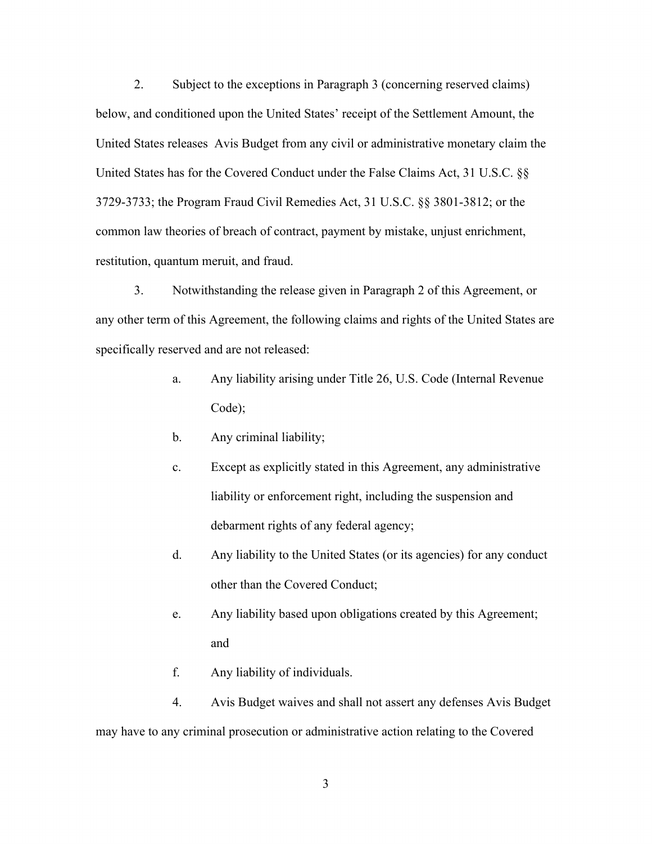2. Subject to the exceptions in Paragraph 3 (concerning reserved claims) below, and conditioned upon the United States' receipt of the Settlement Amount, the United States releases Avis Budget from any civil or administrative monetary claim the United States has for the Covered Conduct under the False Claims Act, 31 U.S.C. §§ 3729-3733; the Program Fraud Civil Remedies Act, 31 U.S.C. §§ 3801-3812; or the common law theories of breach of contract, payment by mistake, unjust enrichment, restitution, quantum meruit, and fraud.

 3. Notwithstanding the release given in Paragraph 2 of this Agreement, or any other term of this Agreement, the following claims and rights of the United States are specifically reserved and are not released:

- a. Any liability arising under Title 26, U.S. Code (Internal Revenue Code);
- b. Any criminal liability;
- c. Except as explicitly stated in this Agreement, any administrative liability or enforcement right, including the suspension and debarment rights of any federal agency;
- d. Any liability to the United States (or its agencies) for any conduct other than the Covered Conduct;
- e. Any liability based upon obligations created by this Agreement; and
- f. Any liability of individuals.

 4. Avis Budget waives and shall not assert any defenses Avis Budget may have to any criminal prosecution or administrative action relating to the Covered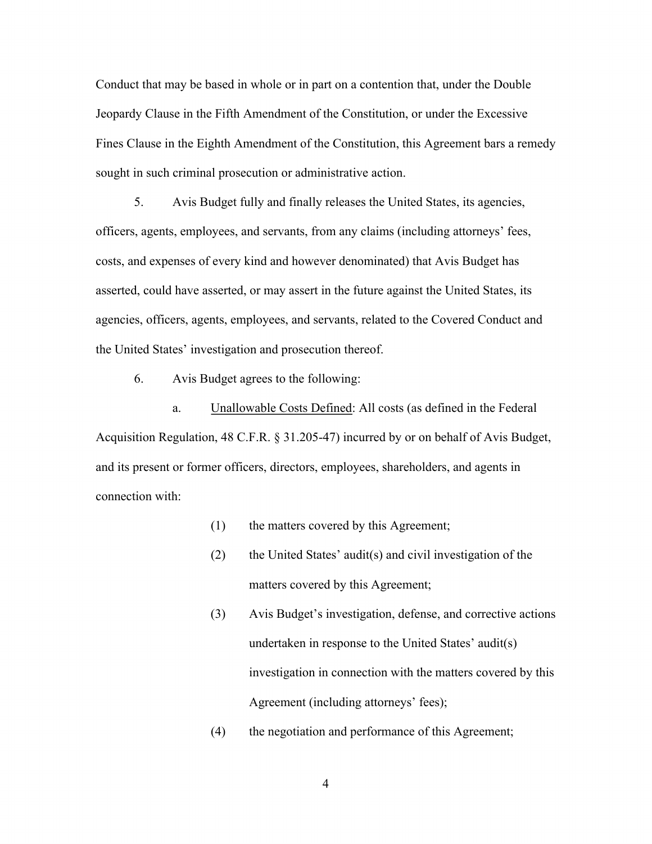Conduct that may be based in whole or in part on a contention that, under the Double Jeopardy Clause in the Fifth Amendment of the Constitution, or under the Excessive Fines Clause in the Eighth Amendment of the Constitution, this Agreement bars a remedy sought in such criminal prosecution or administrative action.

 5. Avis Budget fully and finally releases the United States, its agencies, officers, agents, employees, and servants, from any claims (including attorneys' fees, costs, and expenses of every kind and however denominated) that Avis Budget has asserted, could have asserted, or may assert in the future against the United States, its agencies, officers, agents, employees, and servants, related to the Covered Conduct and the United States' investigation and prosecution thereof.

6. Avis Budget agrees to the following:

a. Unallowable Costs Defined: All costs (as defined in the Federal Acquisition Regulation, 48 C.F.R. § 31.205-47) incurred by or on behalf of Avis Budget, and its present or former officers, directors, employees, shareholders, and agents in connection with:

- (1) the matters covered by this Agreement;
- (2) the United States' audit(s) and civil investigation of the matters covered by this Agreement;
- (3) Avis Budget's investigation, defense, and corrective actions undertaken in response to the United States' audit(s) investigation in connection with the matters covered by this Agreement (including attorneys' fees);
- (4) the negotiation and performance of this Agreement;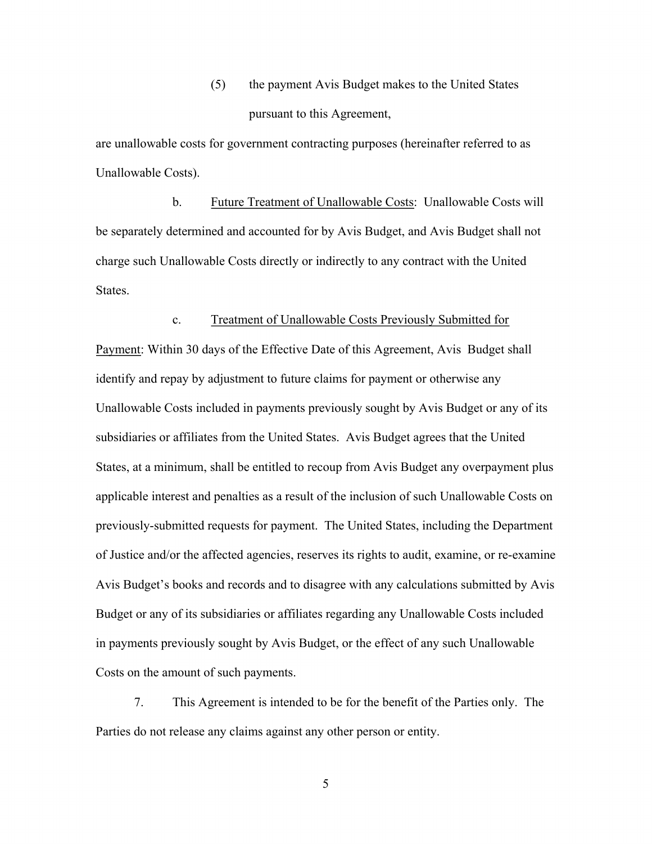(5) the payment Avis Budget makes to the United States pursuant to this Agreement,

are unallowable costs for government contracting purposes (hereinafter referred to as Unallowable Costs).

 b. Future Treatment of Unallowable Costs: Unallowable Costs will be separately determined and accounted for by Avis Budget, and Avis Budget shall not charge such Unallowable Costs directly or indirectly to any contract with the United States.

### c. Treatment of Unallowable Costs Previously Submitted for

Payment: Within 30 days of the Effective Date of this Agreement, Avis Budget shall identify and repay by adjustment to future claims for payment or otherwise any Unallowable Costs included in payments previously sought by Avis Budget or any of its subsidiaries or affiliates from the United States. Avis Budget agrees that the United States, at a minimum, shall be entitled to recoup from Avis Budget any overpayment plus applicable interest and penalties as a result of the inclusion of such Unallowable Costs on previously-submitted requests for payment. The United States, including the Department of Justice and/or the affected agencies, reserves its rights to audit, examine, or re-examine Avis Budget's books and records and to disagree with any calculations submitted by Avis Budget or any of its subsidiaries or affiliates regarding any Unallowable Costs included in payments previously sought by Avis Budget, or the effect of any such Unallowable Costs on the amount of such payments.

 7. This Agreement is intended to be for the benefit of the Parties only. The Parties do not release any claims against any other person or entity.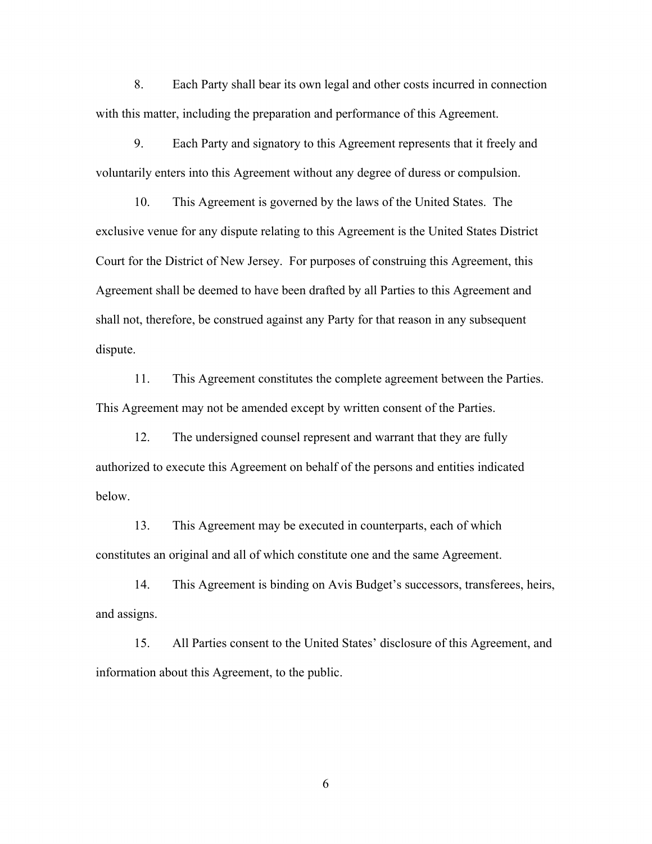8. Each Party shall bear its own legal and other costs incurred in connection with this matter, including the preparation and performance of this Agreement.

 9. Each Party and signatory to this Agreement represents that it freely and voluntarily enters into this Agreement without any degree of duress or compulsion.

 10. This Agreement is governed by the laws of the United States. The exclusive venue for any dispute relating to this Agreement is the United States District Court for the District of New Jersey. For purposes of construing this Agreement, this Agreement shall be deemed to have been drafted by all Parties to this Agreement and shall not, therefore, be construed against any Party for that reason in any subsequent dispute.

 11. This Agreement constitutes the complete agreement between the Parties. This Agreement may not be amended except by written consent of the Parties.

 12. The undersigned counsel represent and warrant that they are fully authorized to execute this Agreement on behalf of the persons and entities indicated below.

 13. This Agreement may be executed in counterparts, each of which constitutes an original and all of which constitute one and the same Agreement.

 14. This Agreement is binding on Avis Budget's successors, transferees, heirs, and assigns.

 15. All Parties consent to the United States' disclosure of this Agreement, and information about this Agreement, to the public.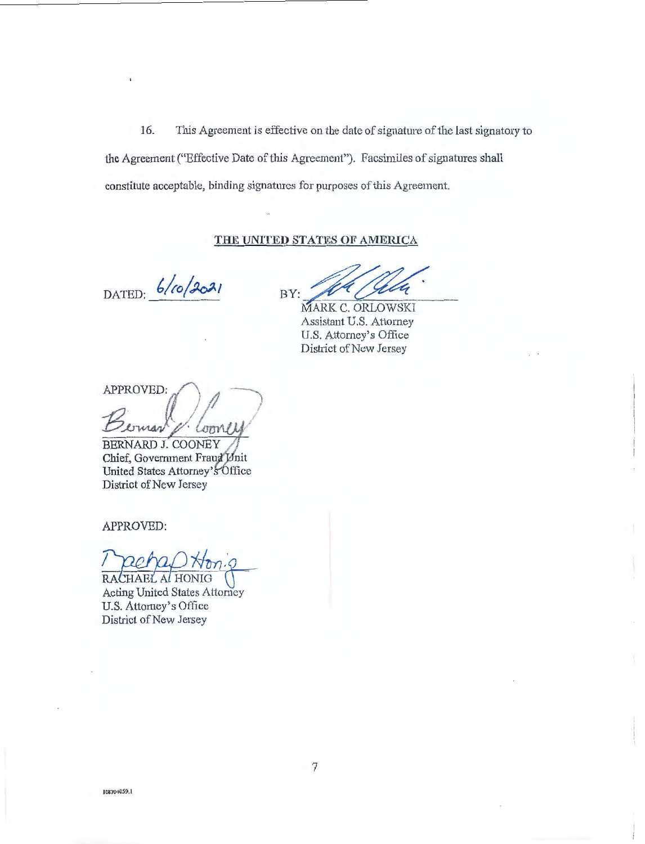This Agreement is effective on the date of signature of the last signatory to 16. the Agreement ("Effective Date of this Agreement"). Facsimiles of signatures shall constitute acceptable, binding signatures for purposes of this Agreement.

# THE UNITED STATES OF AMERICA

DATED:  $6/10/3021$ 

BY:

MARK C. ORLOWSKI Assistant U.S. Attorney U.S. Attorney's Office District of New Jersey

APPROVED: mar LOOM

BERNARD J. COONEY Chief, Government Fraud Unit United States Attorney's Office District of New Jersey

APPROVED:

RACHAEL AL HONIG **Acting United States Attorney** U.S. Attorney's Office District of New Jersey

108704059.1